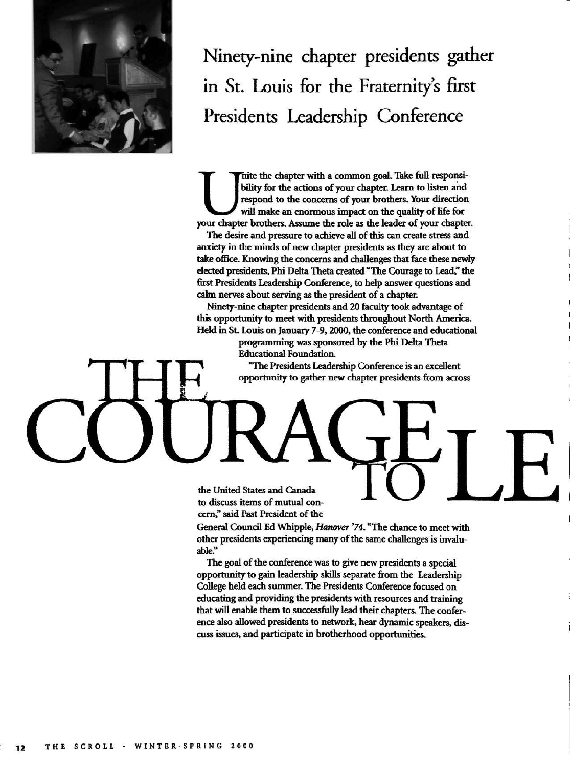

Ninety-nine chapter presidents gather in St. Louis for the Fraternity's first Presidents Leadership Conference

Thite the chapter with a common goal. Take full responsibility for the actions of your chapter. Learn to listen and respond to the concerns of your brothers. Your direction will make an enormous impact on the quality of li hite the chapter with a common goal. Take full responsibility for the actions of your chapter. Learn to listen and respond to the concerns of your brothers. Your direction will make an enormous impact on the quality of life for

The desire and pressure to achieve all of this can create stress and anxiety in the minds of new chapter presidents as they are about to take office. Knowing the concerns and challenges that face these newly elected presidents. Phi Delta Theta created "The Courage to Lead," the first Presidents Leadership Conference, to help answer questions and calm nerves about serving as the president of a chapter.

Ninety-nine chapter presidents and 20 faculty took advantage of this opportunity to meet with presidents throughout North America. Held in St. Louis on January 7-9,2000, the conference and educational

> progranmiing was sponsored by the Phi Delta Theta Educational Foundation.

"The Presidents Leadership Conference is an excellent opportunity to gather new chapter presidents from across

the United States and Canada to discuss items of mutual concern," said Past President of the

General Council Ed Whipple, *Hanover '74.* "The chance to meet with other presidents experiencing many of the same challenges is invaluable."

The goal of the conference was to give new presidents a special opportunity to gain leadership skills separate from the Leadership College held each summer. The Presidents Conference focused on educating and providing the presidents with resources and training that will enable them to successfully lead their chapters. The conference also allowed presidents to network, hear dynamic speakers, discuss issues, and participate in brotherhood opportunities.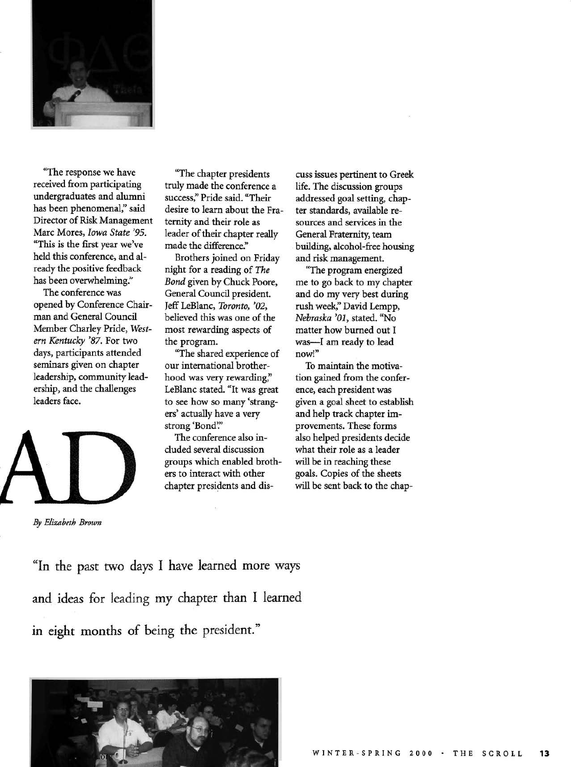

"The response we have received from participating undergraduates and alumni has been phenomenal," said Director of Risk Management Marc Mores, *Iowa State '95.*  "This is the first year we've held this conference, and already the positive feedback has been overwhelming."

The conference was opened by Conference Chairman and General Council Member Charley Pride, *Western Kentucky '87.* For two days, participants attended seminars given on chapter leadership, community leadership, and the challenges leaders face.



*By Elizabeth Brown* 

"The chapter presidents truly made the conference a success," Pride said. "Their desire to learn about the Fraternity and their role as leader of their chapter really made the difference."

Brothers joined on Friday night for a reading of *The Bond* given by Chuck Poore, General Council president. Jeff LeBlanc, *Toronto, '02,*  believed this was one of the most rewarding aspects of the program.

"The shared experience of our international brotherhood was very rewarding," LeBlanc stated. "It was great to see how so many 'strangers' actually have a very strong 'Bond'."

The conference also included several discussion groups which enabled brothers to interact with other chapter presidents and discuss issues pertinent to Greek life. The discussion groups addressed goal setting, chapter standards, available resources and services in the General Fraternity, team building, alcohol-firee housing and risk management.

"The program energized me to go back to my chapter and do my very best during rush week," David Lempp, *Nebraska '01,* stated. "No matter how burned out I was—I am ready to lead now!"

To maintain the motivation gained from the conference, each president was given a goal sheet to establish and help track chapter improvements. These forms also helped presidents decide what their role as a leader will be in reaching these goals. Copies of the sheets will be sent back to the chap-

"In the past two days I have learned more ways and ideas for leading my chapter than 1 learned in eight months of being the president."

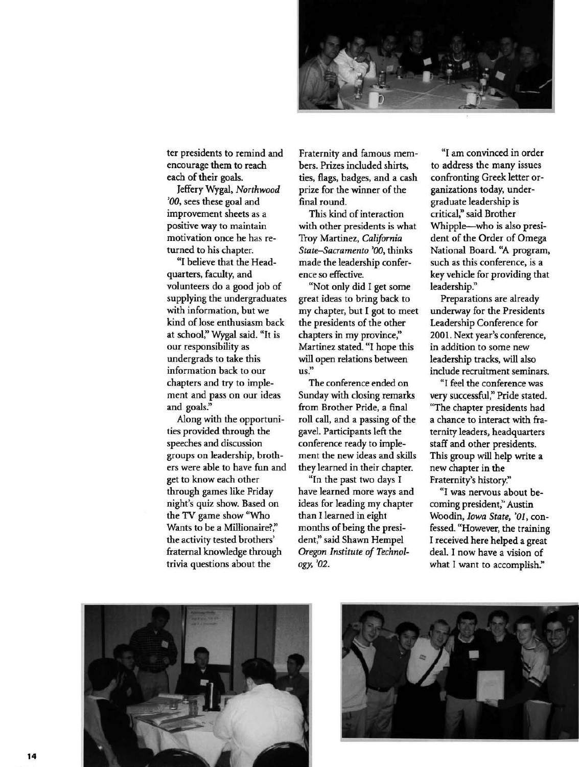

ter presidents to remind and encourage them to reach each of their goals.

Jeffery Wygal, *Northwood '00,* sees these goal and improvement sheets as a positive way to maintain motivation once he has returned to his chapter.

"I believe that the Headquarters, faculty, and volunteers do a good job of supplying the undergraduates with information, but we kind of lose enthusiasm back at school," Wygal said. "It is our responsibility as undergrads to take this information back to our chapters and try to implement and pass on our ideas and goals."

Along with the opportunities provided through the speeches and discussion groups on leadership, brothers were able to have fim and get to know each other through games like Friday night's quiz show. Based on the TV game show "Who Wants to be a Millionaire?," the activity tested brothers' fraternal knowledge through trivia questions about the

Fraternity and famous members. Prizes included shirts, ties, flags, badges, and a cash prize for the winner of the final round.

This kind of interaction with other presidents is what Troy Martinez, *California State-Sacramento '00,* thinks made the leadership conference so effective.

"Not only did I get some great ideas to bring back to my chapter, but I got to meet the presidents of the other chapters in my province," Martinez stated. "I hope this will open relations between us."

The conference ended on Sunday with closing remarks from Brother Pride, a final roll call, and a passing of the gavel. Participants left the conference ready to implement the new ideas and skills they learned in their chapter.

"In the past two days I have learned more ways and ideas for leading my chapter than I learned in eight months of being the president," said Shawn Hempel *Oregon Institute of Technology, '02.* 

"I am convinced in order to address the many issues confronting Greek letter organizations today, undergraduate leadership is critical," said Brother Whipple—who is also president of the Order of Omega National Board. "A program, such as this conference, is a key vehicle for providing that leadership."

Preparations are already underway for the Presidents Leadership Conference for 2001. Next year's conference, in addition to some new leadership tracks, will also include recruitment seminars.

"I feel the conference was very successful," Pride stated. "The chapter presidents had a chance to interact with fraternity leaders, headquarters staff and other presidents. This group will help write a new chapter in the Fraternity's history."

"I was nervous about becoming president," Austin Woodin, *Iowa State, '01,* confessed. "However, the training I received here helped a great deal. I now have a vision of what I want to accomplish."